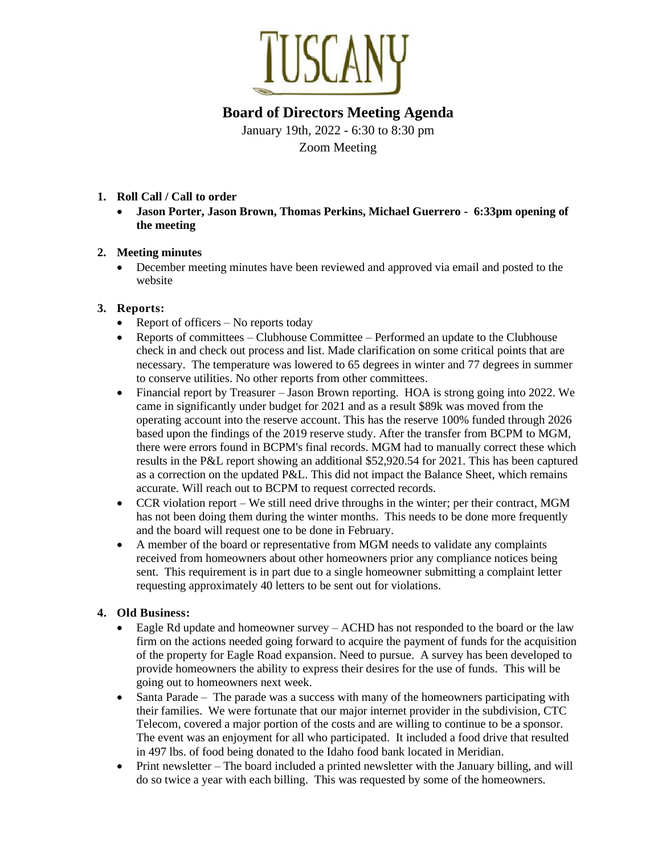

# **Board of Directors Meeting Agenda**

January 19th, 2022 - 6:30 to 8:30 pm Zoom Meeting

#### **1. Roll Call / Call to order**

• **Jason Porter, Jason Brown, Thomas Perkins, Michael Guerrero - 6:33pm opening of the meeting**

#### **2. Meeting minutes**

• December meeting minutes have been reviewed and approved via email and posted to the website

## **3. Reports:**

- Report of officers No reports today
- Reports of committees Clubhouse Committee Performed an update to the Clubhouse check in and check out process and list. Made clarification on some critical points that are necessary. The temperature was lowered to 65 degrees in winter and 77 degrees in summer to conserve utilities. No other reports from other committees.
- Financial report by Treasurer Jason Brown reporting. HOA is strong going into 2022. We came in significantly under budget for 2021 and as a result \$89k was moved from the operating account into the reserve account. This has the reserve 100% funded through 2026 based upon the findings of the 2019 reserve study. After the transfer from BCPM to MGM, there were errors found in BCPM's final records. MGM had to manually correct these which results in the P&L report showing an additional \$52,920.54 for 2021. This has been captured as a correction on the updated P&L. This did not impact the Balance Sheet, which remains accurate. Will reach out to BCPM to request corrected records.
- CCR violation report We still need drive throughs in the winter; per their contract, MGM has not been doing them during the winter months. This needs to be done more frequently and the board will request one to be done in February.
- A member of the board or representative from MGM needs to validate any complaints received from homeowners about other homeowners prior any compliance notices being sent. This requirement is in part due to a single homeowner submitting a complaint letter requesting approximately 40 letters to be sent out for violations.

#### **4. Old Business:**

- Eagle Rd update and homeowner survey  $-$  ACHD has not responded to the board or the law firm on the actions needed going forward to acquire the payment of funds for the acquisition of the property for Eagle Road expansion. Need to pursue. A survey has been developed to provide homeowners the ability to express their desires for the use of funds. This will be going out to homeowners next week.
- Santa Parade The parade was a success with many of the homeowners participating with their families. We were fortunate that our major internet provider in the subdivision, CTC Telecom, covered a major portion of the costs and are willing to continue to be a sponsor. The event was an enjoyment for all who participated. It included a food drive that resulted in 497 lbs. of food being donated to the Idaho food bank located in Meridian.
- Print newsletter The board included a printed newsletter with the January billing, and will do so twice a year with each billing. This was requested by some of the homeowners.